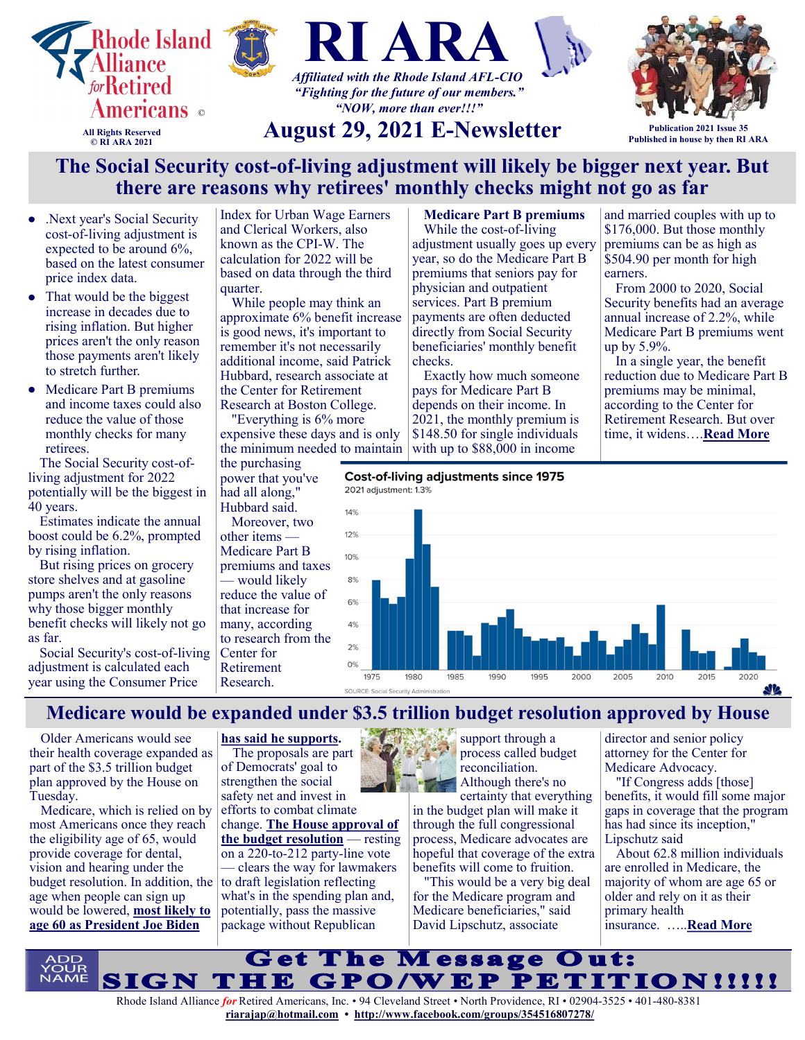

- $\bullet$ .Next year's Social Security cost-of-living adjustment is expected to be around 6%, based on the latest consumer price index data.
- That would be the biggest increase in decades due to rising inflation. But higher prices aren't the only reason those payments aren't likely to stretch further.
- $\bullet$ Medicare Part B premiums and income taxes could also reduce the value of those monthly checks for many retirees.

The Social Security cost-ofliving adjustment for 2022 potentially will be the biggest in 40 years.

Estimates indicate the annual boost [could be 6.2%,](https://www.cnbc.com/2021/08/11/social-security-cost-of-living-adjustment-could-be-over-6-percent-in-2022.html?&doc=106931904) prompted by rising inflation.

But rising prices on grocery store shelves and at gasoline pumps aren't the only reasons why those bigger monthly benefit checks will likely not go as far.

Social Security's cost-of-living adjustment is calculated each year using the Consumer Price

Index for Urban Wage Earners and Clerical Workers, also known as the CPI-W. The calculation for 2022 will be based on data through the third quarter.

While people may think an approximate 6% benefit increase is good news, it's important to remember it's not necessarily additional income, said Patrick Hubbard, research associate at the Center for Retirement Research at Boston College.

"Everything is 6% more expensive these days and is only the minimum needed to maintain

the purchasing power that you've had all along," Hubbard said.

Moreover, two other items — Medicare Part B premiums and taxes — would likely reduce the value of that increase for many, according to [research](https://crr.bc.edu/briefs/the-impact-of-inflation-on-social-security-benefits-2/) from the Center for Retirement Research.

**Medicare Part B premiums**  While the cost-of-living adjustment usually goes up every year, so do the Medicare Part B premiums that seniors pay for physician and outpatient services. Part B premium payments are often deducted directly from Social Security beneficiaries' monthly benefit checks.

Exactly how much someone pays for Medicare Part B depends on their income. In 2021, the monthly premium is \$148.50 for single individuals with up to \$88,000 in income

**Cost-of-living adjustments since 1975** 



 $2000$ 

2005

**Medicare would be expanded under \$3.5 trillion budget resolution approved by House**

1975 SOURCE

1980

1985

Older Americans would see their health coverage expanded as part of the \$3.5 trillion budget plan approved by the House on Tuesday.

Medicare, which is relied on by most Americans once they reach the eligibility age of 65, would provide coverage for dental, vision and hearing under the budget resolution. In addition, the age when people can sign up would be lowered, **[most likely to](https://www.cnbc.com/2020/08/22/why-medicare-coverage-could-expand-under-a-biden-presidency.html?&doc=106933000)  [age 60 as President Joe Biden](https://www.cnbc.com/2020/08/22/why-medicare-coverage-could-expand-under-a-biden-presidency.html?&doc=106933000)** 

**[has said he supports.](https://www.cnbc.com/2020/08/22/why-medicare-coverage-could-expand-under-a-biden-presidency.html?&doc=106933000)**

The proposals are part of Democrats' goal to strengthen the social safety net and invest in efforts to combat climate change. **[The House approval of](https://www.cnbc.com/2021/08/24/house-passes-budget-resolution-advances-infrastructure-bill.html?&doc=106933000)  [the budget resolution](https://www.cnbc.com/2021/08/24/house-passes-budget-resolution-advances-infrastructure-bill.html?&doc=106933000)** — resting on a 220-to-212 party-line vote — clears the way for lawmakers to draft legislation reflecting what's in the spending plan and, potentially, pass the massive package without Republican

support through a process called budget reconciliation. Although there's no

1990

1995

certainty that everything in the budget plan will make it through the full congressional process, Medicare advocates are hopeful that coverage of the extra benefits will come to fruition.

"This would be a very big deal for the Medicare program and Medicare beneficiaries," said David Lipschutz, associate

director and senior policy attorney for the Center for Medicare Advocacy.

2010

and married couples with up to \$176,000. But those monthly premiums can be as high as \$504.90 per month for high

From 2000 to 2020, Social Security benefits had an average annual increase of 2.2%, while Medicare Part B premiums went

In a single year, the benefit reduction due to Medicare Part B premiums may be minimal, according to the Center for Retirement Research. But over time, it widens….**[Read More](https://www.msn.com/en-us/money/retirement/the-social-security-cost-of-living-adjustment-will-likely-be-bigger-next-year-but-there-are-reasons-why-retirees-monthly-checks-might-not-go-as-far/ar-AANGefr?ocid=SK2DDHP)**

earners.

up by 5.9%.

"If Congress adds [those] benefits, it would fill some major gaps in coverage that the program has had since its inception," Lipschutz said

 $2015$ 

About 62.8 million individuals are enrolled in Medicare, the majority of whom are age 65 or older and rely on it as their primary health insurance. …..**[Read More](https://www.msn.com/en-us/money/news/medicare-would-be-expanded-under-dollar35-trillion-budget-resolution-approved-by-house/ar-AANJw6i?ocid=SK2DDHP&li=BBnb7Kz)**

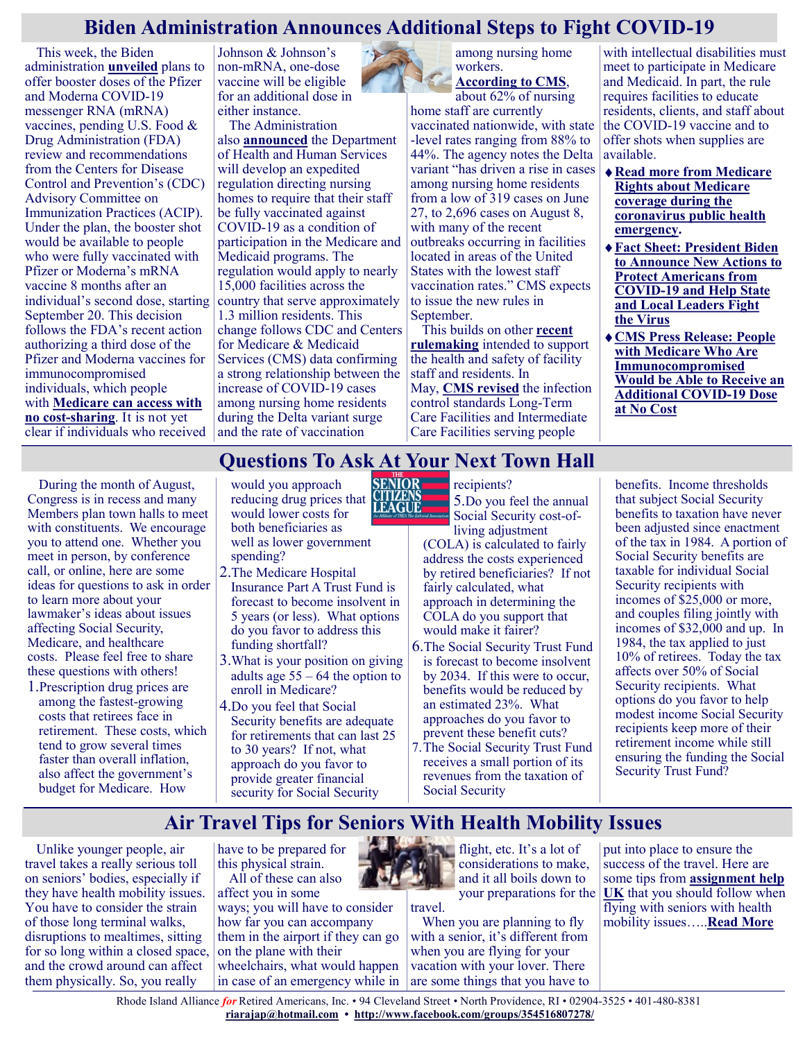#### **Biden Administration Announces Additional Steps to Fight COVID-19**

This week, the Biden administration **[unveiled](https://www.whitehouse.gov/briefing-room/statements-releases/2021/08/18/fact-sheet-president-biden-to-announce-new-actions-to-protect-americans-from-covid-19-and-help-state-and-local-leaders-fight-the-virus/)** plans to offer booster doses of the Pfizer and Moderna COVID-19 messenger RNA (mRNA) vaccines, pending U.S. Food & Drug Administration (FDA) review and recommendations from the Centers for Disease Control and Prevention's (CDC) Advisory Committee on Immunization Practices (ACIP). Under the plan, the booster shot would be available to people who were fully vaccinated with Pfizer or Moderna's mRNA vaccine 8 months after an individual's second dose, starting September 20. This decision follows the FDA's recent action authorizing a third dose of the Pfizer and Moderna vaccines for immunocompromised individuals, which people with **[Medicare can access with](https://www.cms.gov/newsroom/news-alert/people-medicare-who-are-immunocompromised-would-be-able-receive-additional-covid-19-dose-no-cost)  no cost-[sharing](https://www.cms.gov/newsroom/news-alert/people-medicare-who-are-immunocompromised-would-be-able-receive-additional-covid-19-dose-no-cost)**. It is not yet clear if individuals who received

Johnson & Johnson's non-mRNA, one-dose vaccine will be eligible for an additional dose in either instance.

The Administration

also **[announced](https://www.whitehouse.gov/briefing-room/statements-releases/2021/08/18/fact-sheet-president-biden-to-announce-new-actions-to-protect-americans-from-covid-19-and-help-state-and-local-leaders-fight-the-virus/)** the Department of Health and Human Services will develop an expedited regulation directing nursing homes to require that their staff be fully vaccinated against COVID-19 as a condition of participation in the Medicare and Medicaid programs. The regulation would apply to nearly 15,000 facilities across the country that serve approximately 1.3 million residents. This change follows CDC and Centers for Medicare & Medicaid Services (CMS) data confirming a strong relationship between the increase of COVID-19 cases among nursing home residents during the Delta variant surge and the rate of vaccination



workers. **[According to CMS](https://www.cms.gov/newsroom/press-releases/biden-harris-administration-takes-additional-action-protect-americas-nursing-home-residents-covid-19)**,

about 62% of nursing home staff are currently vaccinated nationwide, with state -level rates ranging from 88% to 44%. The agency notes the Delta variant "has driven a rise in cases among nursing home residents from a low of 319 cases on June 27, to 2,696 cases on August 8, with many of the recent outbreaks occurring in facilities located in areas of the United States with the lowest staff vaccination rates." CMS expects to issue the new rules in September.

This builds on other **[recent](https://www.medicarerights.org/medicare-watch/2021/05/13/cms-looks-to-expand-covid-19-vaccine-education-administration-and-reporting-requirements-for-long-term-care-facilities)  [rulemaking](https://www.medicarerights.org/medicare-watch/2021/05/13/cms-looks-to-expand-covid-19-vaccine-education-administration-and-reporting-requirements-for-long-term-care-facilities)** intended to support the health and safety of facility staff and residents. In May, **[CMS revised](https://www.cms.gov/newsroom/press-releases/cms-expanding-efforts-grow-covid-19-vaccine-confidence-and-uptake-amongst-nations-most-vulnerable)** the infection control standards Long-Term Care Facilities and Intermediate Care Facilities serving people

with intellectual disabilities must meet to participate in Medicare and Medicaid. In part, the rule requires facilities to educate residents, clients, and staff about the COVID-19 vaccine and to offer shots when supplies are available.

- **[Read more from Medicare](https://www.medicareinteractive.org/get-answers/medicare-covered-services/medicare-coverage-overview/medicare-coverage-during-the-coronavirus-public-health-emergency)  [Rights about Medicare](https://www.medicareinteractive.org/get-answers/medicare-covered-services/medicare-coverage-overview/medicare-coverage-during-the-coronavirus-public-health-emergency)  [coverage during the](https://www.medicareinteractive.org/get-answers/medicare-covered-services/medicare-coverage-overview/medicare-coverage-during-the-coronavirus-public-health-emergency)  [coronavirus public health](https://www.medicareinteractive.org/get-answers/medicare-covered-services/medicare-coverage-overview/medicare-coverage-during-the-coronavirus-public-health-emergency)  [emergency.](https://www.medicareinteractive.org/get-answers/medicare-covered-services/medicare-coverage-overview/medicare-coverage-during-the-coronavirus-public-health-emergency)**
- **[Fact Sheet: President](https://www.whitehouse.gov/briefing-room/statements-releases/2021/08/18/fact-sheet-president-biden-to-announce-new-actions-to-protect-americans-from-covid-19-and-help-state-and-local-leaders-fight-the-virus/) Biden [to Announce New Actions to](https://www.whitehouse.gov/briefing-room/statements-releases/2021/08/18/fact-sheet-president-biden-to-announce-new-actions-to-protect-americans-from-covid-19-and-help-state-and-local-leaders-fight-the-virus/)  [Protect Americans from](https://www.whitehouse.gov/briefing-room/statements-releases/2021/08/18/fact-sheet-president-biden-to-announce-new-actions-to-protect-americans-from-covid-19-and-help-state-and-local-leaders-fight-the-virus/)  COVID-[19 and Help State](https://www.whitehouse.gov/briefing-room/statements-releases/2021/08/18/fact-sheet-president-biden-to-announce-new-actions-to-protect-americans-from-covid-19-and-help-state-and-local-leaders-fight-the-virus/)  [and Local Leaders Fight](https://www.whitehouse.gov/briefing-room/statements-releases/2021/08/18/fact-sheet-president-biden-to-announce-new-actions-to-protect-americans-from-covid-19-and-help-state-and-local-leaders-fight-the-virus/)  the [Virus](https://www.whitehouse.gov/briefing-room/statements-releases/2021/08/18/fact-sheet-president-biden-to-announce-new-actions-to-protect-americans-from-covid-19-and-help-state-and-local-leaders-fight-the-virus/)**
- **[CMS Press Release: People](https://www.cms.gov/newsroom/news-alert/people-medicare-who-are-immunocompromised-would-be-able-receive-additional-covid-19-dose-no-cost)  [with Medicare Who Are](https://www.cms.gov/newsroom/news-alert/people-medicare-who-are-immunocompromised-would-be-able-receive-additional-covid-19-dose-no-cost)  [Immunocompromised](https://www.cms.gov/newsroom/news-alert/people-medicare-who-are-immunocompromised-would-be-able-receive-additional-covid-19-dose-no-cost)  [Would be Able to Receive an](https://www.cms.gov/newsroom/news-alert/people-medicare-who-are-immunocompromised-would-be-able-receive-additional-covid-19-dose-no-cost)  [Additional COVID](https://www.cms.gov/newsroom/news-alert/people-medicare-who-are-immunocompromised-would-be-able-receive-additional-covid-19-dose-no-cost)-19 Dose [at No Cost](https://www.cms.gov/newsroom/news-alert/people-medicare-who-are-immunocompromised-would-be-able-receive-additional-covid-19-dose-no-cost)**

#### **Questions To Ask At Your Next Town Hall**

During the month of August, Congress is in recess and many Members plan town halls to meet with constituents. We encourage you to attend one. Whether you meet in person, by conference call, or online, here are some ideas for questions to ask in order to learn more about your lawmaker's ideas about issues affecting Social Security, Medicare, and healthcare costs. Please feel free to share these questions with others!

1.Prescription drug prices are among the fastest-growing costs that retirees face in retirement. These costs, which tend to grow several times faster than overall inflation, also affect the government's budget for Medicare. How

**SENIOR** would you approach reducing drug prices that **CITIZENS** would lower costs for both beneficiaries as well as lower government spending?

- 2.The Medicare Hospital Insurance Part A Trust Fund is forecast to become insolvent in 5 years (or less). What options do you favor to address this funding shortfall?
- 3.What is your position on giving adults age 55 – 64 the option to enroll in Medicare?
- 4.Do you feel that Social Security benefits are adequate for retirements that can last 25 to 30 years? If not, what approach do you favor to provide greater financial security for Social Security

recipients? 5.Do you feel the annual Social Security cost-ofliving adjustment

(COLA) is calculated to fairly address the costs experienced by retired beneficiaries? If not fairly calculated, what approach in determining the COLA do you support that would make it fairer?

- 6.The Social Security Trust Fund is forecast to become insolvent by 2034. If this were to occur, benefits would be reduced by an estimated 23%. What approaches do you favor to prevent these benefit cuts?
- 7.The Social Security Trust Fund receives a small portion of its revenues from the taxation of Social Security

benefits. Income thresholds that subject Social Security benefits to taxation have never been adjusted since enactment of the tax in 1984. A portion of Social Security benefits are taxable for individual Social Security recipients with incomes of \$25,000 or more, and couples filing jointly with incomes of \$32,000 and up. In 1984, the tax applied to just 10% of retirees. Today the tax affects over 50% of Social Security recipients. What options do you favor to help modest income Social Security recipients keep more of their retirement income while still ensuring the funding the Social Security Trust Fund?

#### **Air Travel Tips for Seniors With Health Mobility Issues**

Unlike younger people, air travel takes a really serious toll on seniors' bodies, especially if they have health mobility issues. You have to consider the strain of those long terminal walks, disruptions to mealtimes, sitting for so long within a closed space, and the crowd around can affect them physically. So, you really

have to be prepared for this physical strain. All of these can also affect you in some ways; you will have to consider how far you can accompany them in the airport if they can go on the plane with their wheelchairs, what would happen in case of an emergency while in



travel.

flight, etc. It's a lot of considerations to make, and it all boils down to your preparations for the

When you are planning to fly with a senior, it's different from when you are flying for your vacation with your lover. There are some things that you have to

put into place to ensure the success of the travel. Here are some tips from **[assignment help](https://www.brillassignment.co.uk/)  [UK](https://www.brillassignment.co.uk/)** that you should follow when flying with seniors with health mobility issues…..**[Read More](https://seniornews.com/air-travel-tips-for-seniors-with-health-mobility-issues/)**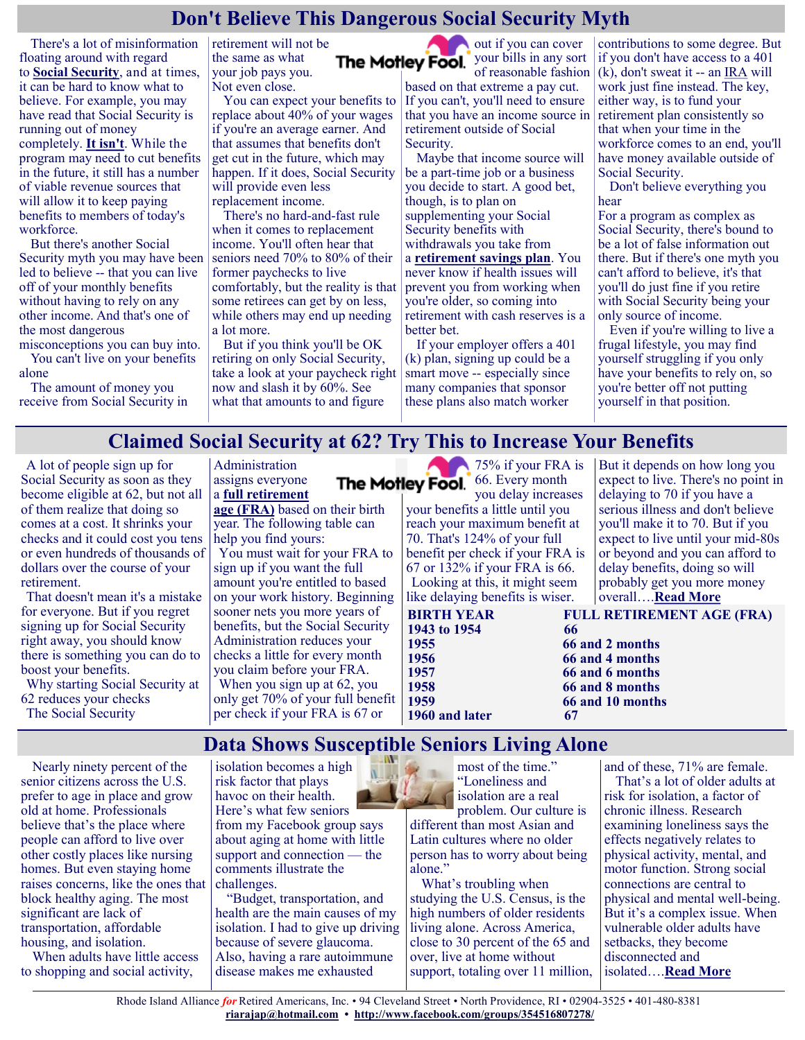#### **Don't Believe This Dangerous Social Security Myth**

There's a lot of misinformation floating around with regard to **[Social Security](https://www.fool.com/retirement/social-security/?utm_source=msnrss&utm_medium=feed&utm_campaign=article&referring_guid=ad56c490-f7c5-4810-9afb-45f93f1f5882)**, and at times, it can be hard to know what to believe. For example, you may have read that Social Security is running out of money completely. **[It isn't](https://www.fool.com/retirement/2021/08/10/we-need-to-talk-about-social-security-its-not-dryi/?utm_source=msnrss&utm_medium=feed&utm_campaign=article&referring_guid=ad56c490-f7c5-4810-9afb-45f93f1f5882)**. While the program may need to cut benefits in the future, it still has a number of viable revenue sources that will allow it to keep paying benefits to members of today's workforce.

But there's another Social Security myth you may have been led to believe -- that you can live off of your monthly benefits without having to rely on any other income. And that's one of the most dangerous

misconceptions you can buy into. You can't live on your benefits alone

The amount of money you receive from Social Security in retirement will not be the same as what your job pays you. Not even close.

You can expect your benefits to replace about 40% of your wages if you're an average earner. And that assumes that benefits don't get cut in the future, which may happen. If it does, Social Security will provide even less replacement income.

There's no hard-and-fast rule when it comes to replacement income. You'll often hear that seniors need 70% to 80% of their former paychecks to live comfortably, but the reality is that some retirees can get by on less, while others may end up needing a lot more.

But if you think you'll be OK retiring on only Social Security, take a look at your paycheck right now and slash it by 60%. See what that amounts to and figure

out if you can cover The Motley Fool. your bills in any sort of reasonable fashion

based on that extreme a pay cut. If you can't, you'll need to ensure that you have an income source in retirement outside of Social Security.

Maybe that income source will be a part-time job or a business you decide to start. A good bet, though, is to plan on supplementing your Social Security benefits with withdrawals you take from a **[retirement savings plan](https://www.fool.com/retirement/plans/?utm_source=msnrss&utm_medium=feed&utm_campaign=article&referring_guid=ad56c490-f7c5-4810-9afb-45f93f1f5882)**. You never know if health issues will prevent you from working when you're older, so coming into retirement with cash reserves is a better bet.

If your employer offers a 401 (k) plan, signing up could be a smart move -- especially since many companies that sponsor these plans also match worker

contributions to some degree. But if you don't have access to a 401 (k), don't sweat it -- an [IRA](https://www.fool.com/retirement/2021/08/18/can-you-retire-a-millionaire-with-an-ira-alone/?utm_source=msnrss&utm_medium=feed&utm_campaign=article&referring_guid=ad56c490-f7c5-4810-9afb-45f93f1f5882) will work just fine instead. The key, either way, is to fund your retirement plan consistently so that when your time in the workforce comes to an end, you'll have money available outside of Social Security.

Don't believe everything you hear

For a program as complex as Social Security, there's bound to be a lot of false information out there. But if there's one myth you can't afford to believe, it's that you'll do just fine if you retire with Social Security being your only source of income.

Even if you're willing to live a frugal lifestyle, you may find yourself struggling if you only have your benefits to rely on, so you're better off not putting yourself in that position.

#### **Claimed Social Security at 62? Try This to Increase Your Benefits**

A lot of people sign up for Social Security as soon as they become eligible at 62, but not all of them realize that doing so comes at a cost. It shrinks your checks and it could cost you tens or even hundreds of thousands of dollars over the course of your retirement.

That doesn't mean it's a mistake for everyone. But if you regret signing up for Social Security right away, you should know there is something you can do to boost your benefits.

Why starting Social Security at 62 reduces your checks The Social Security

#### Administration assigns everyone a **[full retirement](https://www.fool.com/retirement/social-security/full-retirement-age/?utm_source=msnrss&utm_medium=feed&utm_campaign=article&referring_guid=c51959e3-8b49-442f-a616-259f3861bd97)**

**[age \(FRA\)](https://www.fool.com/retirement/social-security/full-retirement-age/?utm_source=msnrss&utm_medium=feed&utm_campaign=article&referring_guid=c51959e3-8b49-442f-a616-259f3861bd97)** based on their birth year. The following table can help you find yours:

You must wait for your FRA to sign up if you want the full amount you're entitled to based on your work history. Beginning sooner nets you more years of benefits, but the Social Security Administration reduces your checks a little for every month you claim before your FRA. When you sign up at 62, you only get 70% of your full benefit per check if your FRA is 67 or

175% if your FRA is The Motley Fool. 66. Every month you delay increases

your benefits a little until you reach your maximum benefit at 70. That's 124% of your full benefit per check if your FRA is 67 or 132% if your FRA is 66. Looking at this, it might seem like delaying benefits is wiser.

But it depends on how long you expect to live. There's no point in delaying to 70 if you have a serious illness and don't believe you'll make it to 70. But if you expect to live until your mid-80s or beyond and you can afford to delay benefits, doing so will probably get you more money overall….**[Read More](https://www.msn.com/en-us/money/retirement/claimed-social-security-at-62-try-this-to-increase-your-benefits/ar-AANB01o?ocid=SK2DDHP&li=BBnbfcL)**

**1960 and later 67**

**1956 66 and 4 months 1959 66 and 10 months**

#### **Data Shows Susceptible Seniors Living Alone**

Nearly ninety percent of the senior citizens across the U.S. prefer to age in place and grow old at home. Professionals believe that's the place where people can afford to live over other costly places like nursing homes. But even staying home raises concerns, like the ones that block healthy aging. The most significant are lack of transportation, affordable housing, and isolation.

When adults have little access to shopping and social activity,

isolation becomes a high risk factor that plays havoc on their health. Here's what few seniors from my Facebook group says about aging at home with little support and connection — the comments illustrate the challenges.

"Budget, transportation, and health are the main causes of my isolation. I had to give up driving because of severe glaucoma. Also, having a rare autoimmune disease makes me exhausted

most of the time." "Loneliness and isolation are a real problem. Our culture is different than most Asian and Latin cultures where no older person has to worry about being alone."

What's troubling when studying the U.S. Census, is the high numbers of older residents living alone. Across America, close to 30 percent of the 65 and over, live at home without support, totaling over 11 million, and of these, 71% are female.

That's a lot of older adults at risk for isolation, a factor of chronic illness. Research examining loneliness says the effects negatively relates to physical activity, mental, and motor function. Strong social connections are central to physical and mental well-being. But it's a complex issue. When vulnerable older adults have setbacks, they become disconnected and isolated….**[Read More](https://seniornews.com/data-shows-susceptible-seniors-living-alone/)**

Rhode Island Alliance *for* Retired Americans, Inc. • 94 Cleveland Street • North Providence, RI • 02904-3525 • 401-480-8381 **[riarajap@hotmail.com](mailto:riarajap@hotmail.com) • [http://www.facebook.com/groups/354516807278/](https://www.facebook.com/groups/354516807278/)**

**BIRTH YEAR FULL RETIREMENT AGE (FRA) 1943 to 1954** 66<br>**1955** 66 **1955 66 and 2 months**

# **1957 66 and 6 months 1958 66 and 8 months**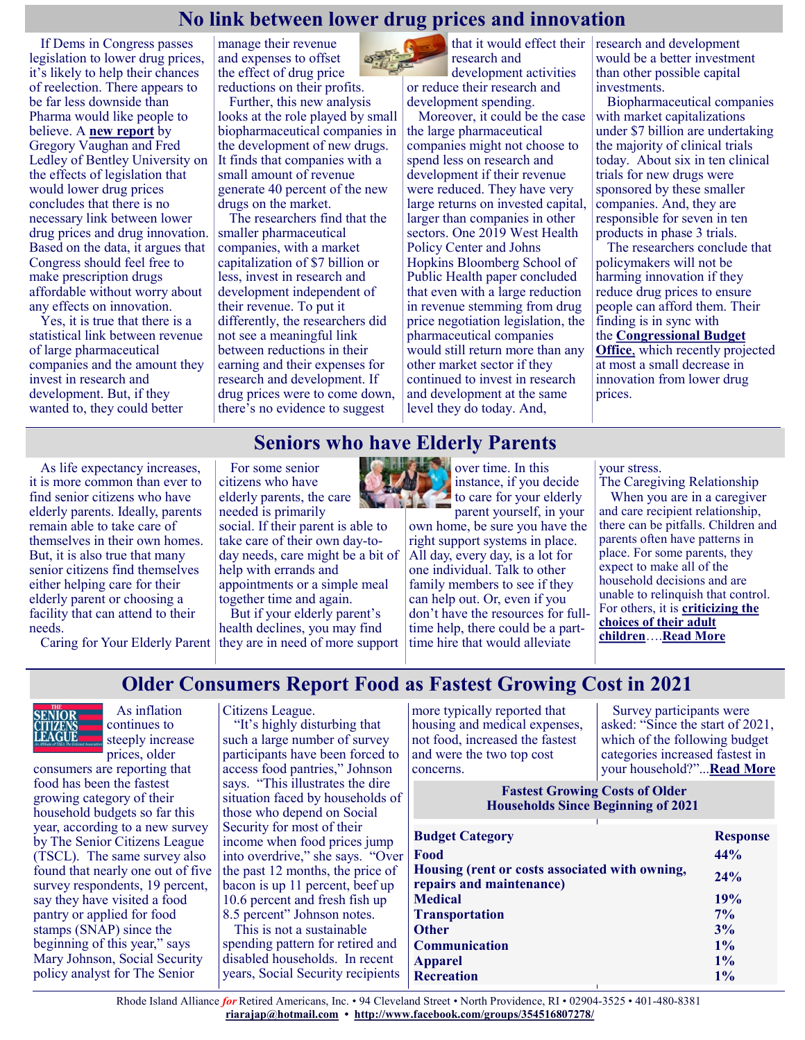#### **No link between lower drug prices and innovation**

If Dems in Congress passes legislation to lower drug prices, it's likely to help their chances of reelection. There appears to be far less downside than Pharma would like people to believe. A **[new report](https://uploads-ssl.webflow.com/5e59d7f99e288f91abe20b9f/6113d44897d71d1583ef998a_Bentley.pdf)** by Gregory Vaughan and Fred Ledley of Bentley University on the effects of legislation that would lower drug prices concludes that there is no necessary link between lower drug prices and drug innovation. Based on the data, it argues that Congress should feel free to make prescription drugs affordable without worry about any effects on innovation.

Yes, it is true that there is a statistical link between revenue of large pharmaceutical companies and the amount they invest in research and development. But, if they wanted to, they could better

manage their revenue and expenses to offset the effect of drug price reductions on their profits.

Further, this new analysis looks at the role played by small biopharmaceutical companies in the development of new drugs. It finds that companies with a small amount of revenue generate 40 percent of the new drugs on the market.

The researchers find that the smaller pharmaceutical companies, with a market capitalization of \$7 billion or less, invest in research and development independent of their revenue. To put it differently, the researchers did not see a meaningful link between reductions in their earning and their expenses for research and development. If drug prices were to come down, there's no evidence to suggest



research and development activities or reduce their research and development spending.

Moreover, it could be the case the large pharmaceutical companies might not choose to spend less on research and development if their revenue were reduced. They have very large returns on invested capital, larger than companies in other sectors. One 2019 West Health Policy Center and Johns Hopkins Bloomberg School of Public Health paper concluded that even with a large reduction in revenue stemming from drug price negotiation legislation, the pharmaceutical companies would still return more than any other market sector if they continued to invest in research and development at the same level they do today. And,

that it would effect their  $\vert$  research and development would be a better investment than other possible capital investments.

Biopharmaceutical companies with market capitalizations under \$7 billion are undertaking the majority of clinical trials today. About six in ten clinical trials for new drugs were sponsored by these smaller companies. And, they are responsible for seven in ten products in phase 3 trials.

The researchers conclude that policymakers will not be harming innovation if they reduce drug prices to ensure people can afford them. Their finding is in sync with the **[Congressional Budget](https://justcareusa.org/lowering-drug-prices-will-not-affect-innovation/)  [Office](https://justcareusa.org/lowering-drug-prices-will-not-affect-innovation/)**, which recently projected at most a small decrease in innovation from lower drug

#### **Seniors who have Elderly Parents**

As life expectancy increases, it is more common than ever to find senior citizens who have elderly parents. Ideally, parents remain able to take care of themselves in their own homes. But, it is also true that many senior citizens find themselves either helping care for their elderly parent or choosing a facility that can attend to their needs.

Caring for Your Elderly Parent they are in need of more support

For some senior citizens who have elderly parents, the care needed is primarily

social. If their parent is able to take care of their own day-today needs, care might be a bit of help with errands and appointments or a simple meal together time and again.

But if your elderly parent's health declines, you may find



own home, be sure you have the right support systems in place. All day, every day, is a lot for one individual. Talk to other family members to see if they can help out. Or, even if you don't have the resources for fulltime help, there could be a parttime hire that would alleviate

your stress.

prices.

The Caregiving Relationship When you are in a caregiver and care recipient relationship, there can be pitfalls. Children and parents often have patterns in place. For some parents, they expect to make all of the household decisions and are unable to relinquish that control. For others, it is **[criticizing the](https://www.scientificamerican.com/article/harsh-critical-parenting-may-lead-to-anxiety-disorder-symptoms/)  [choices of their adult](https://www.scientificamerican.com/article/harsh-critical-parenting-may-lead-to-anxiety-disorder-symptoms/)  [children](https://www.scientificamerican.com/article/harsh-critical-parenting-may-lead-to-anxiety-disorder-symptoms/)**….**[Read More](https://seniornews.com/seniors-who-have-elderly-parents/)**

**Older Consumers Report Food as Fastest Growing Cost in 2021**



 As inflation continues to steeply increase prices, older

consumers are reporting that food has been the fastest growing category of their household budgets so far this year, according to a new survey by The Senior Citizens League (TSCL). The same survey also found that nearly one out of five survey respondents, 19 percent, say they have visited a food pantry or applied for food stamps (SNAP) since the beginning of this year," says Mary Johnson, Social Security policy analyst for The Senior

Citizens League.

"It's highly disturbing that such a large number of survey participants have been forced to access food pantries," Johnson says. "This illustrates the dire situation faced by households of those who depend on Social Security for most of their income when food prices jump into overdrive," she says. "Over the past 12 months, the price of bacon is up 11 percent, beef up 10.6 percent and fresh fish up 8.5 percent" Johnson notes.

This is not a sustainable spending pattern for retired and disabled households. In recent years, Social Security recipients more typically reported that housing and medical expenses, not food, increased the fastest and were the two top cost concerns.

Survey participants were asked: "Since the start of 2021, which of the following budget categories increased fastest in your household?"...**[Read More](https://seniorsleague.org/older-consumers-report-food-as-fastest-growing-cost-in-2021/)**

**Fastest Growing Costs of Older Households Since Beginning of 2021**

| <b>Budget Category</b>                                                     | <b>Response</b> |
|----------------------------------------------------------------------------|-----------------|
| Food                                                                       | 44%             |
| Housing (rent or costs associated with owning,<br>repairs and maintenance) | 24%             |
| <b>Medical</b>                                                             | 19%             |
| <b>Transportation</b>                                                      | $7\%$           |
| <b>Other</b>                                                               | 3%              |
| <b>Communication</b>                                                       | $1\%$           |
| <b>Apparel</b>                                                             | 1%              |
| <b>Recreation</b>                                                          | $1\%$           |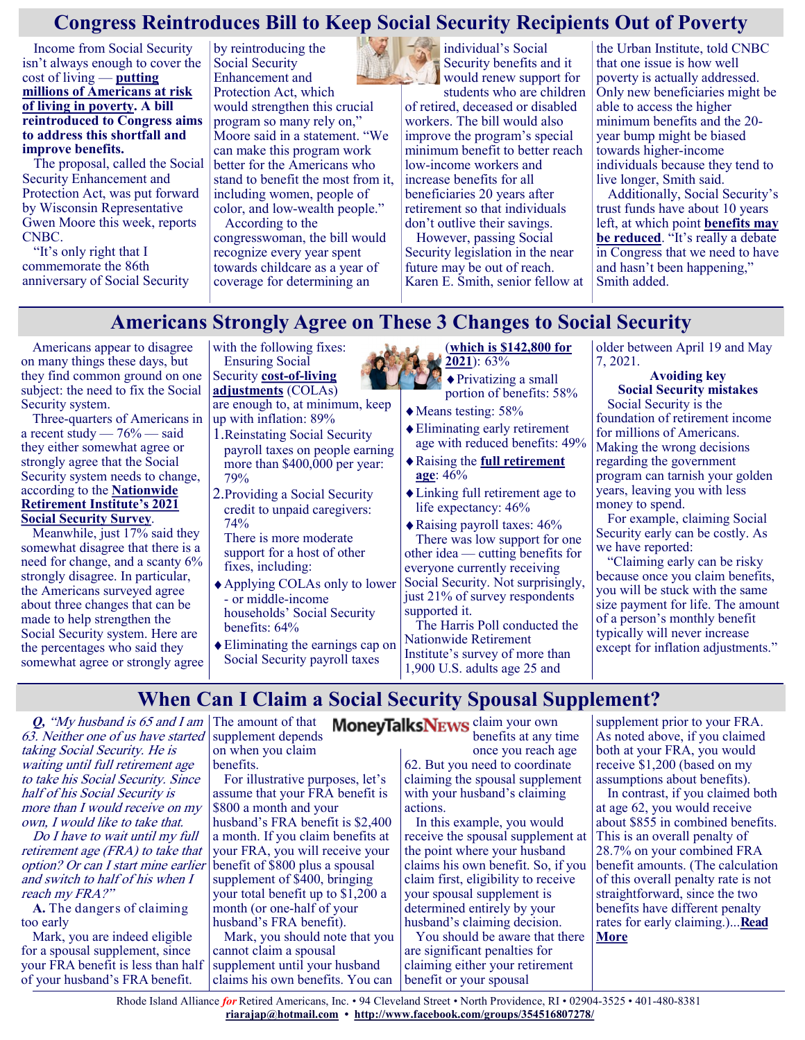#### **Congress Reintroduces Bill to Keep Social Security Recipients Out of Poverty**

Income from Social Security isn't always enough to cover the cost of living — **[putting](https://www.gobankingrates.com/money/economy/cities-getting-poorer/?utm_campaign=1142087&utm_source=msn.com&utm_content=1&utm_medium=rss)  [millions of Americans at risk](https://www.gobankingrates.com/money/economy/cities-getting-poorer/?utm_campaign=1142087&utm_source=msn.com&utm_content=1&utm_medium=rss)  [of living in poverty.](https://www.gobankingrates.com/money/economy/cities-getting-poorer/?utm_campaign=1142087&utm_source=msn.com&utm_content=1&utm_medium=rss) A bill reintroduced to Congress aims to address this shortfall and improve benefits.**

The proposal, called the Social Security Enhancement and Protection Act, was put forward by Wisconsin Representative Gwen Moore this week, reports CNBC.

"It's only right that I commemorate the 86th anniversary of Social Security

by reintroducing the Social Security Enhancement and Protection Act, which would strengthen this crucial program so many rely on," Moore said in a statement. "We can make this program work better for the Americans who stand to benefit the most from it, including women, people of color, and low-wealth people."

According to the congresswoman, the bill would recognize every year spent towards childcare as a year of coverage for determining an



Security benefits and it would renew support for

students who are children of retired, deceased or disabled workers. The bill would also improve the program's special minimum benefit to better reach low-income workers and increase benefits for all beneficiaries 20 years after retirement so that individuals don't outlive their savings.

However, passing Social Security legislation in the near future may be out of reach. Karen E. Smith, senior fellow at the Urban Institute, told CNBC that one issue is how well poverty is actually addressed. Only new beneficiaries might be able to access the higher minimum benefits and the 20 year bump might be biased towards higher-income individuals because they tend to live longer, Smith said.

Additionally, Social Security's trust funds have about 10 years left, at which point **[benefits may](https://www.gobankingrates.com/retirement/social-security/debt-free-future-biggest-problems-facing-social-security/?utm_campaign=1142087&utm_source=msn.com&utm_content=7&utm_medium=rss)  [be reduced](https://www.gobankingrates.com/retirement/social-security/debt-free-future-biggest-problems-facing-social-security/?utm_campaign=1142087&utm_source=msn.com&utm_content=7&utm_medium=rss)**. "It's really a debate in Congress that we need to have and hasn't been happening," Smith added.

#### **Americans Strongly Agree on These 3 Changes to Social Security**

Americans appear to disagree on many things these days, but they find common ground on one subject: the need to fix the Social Security system.

Three-quarters of Americans in a recent study  $-76%$  — said they either somewhat agree or strongly agree that the Social Security system needs to change, according to the **[Nationwide](https://nationwidefinancial.com/media/pdf/NFM-20936AO.pdf)  [Retirement Institute's 2021](https://nationwidefinancial.com/media/pdf/NFM-20936AO.pdf)  [Social Security Survey](https://nationwidefinancial.com/media/pdf/NFM-20936AO.pdf)**.

Meanwhile, just 17% said they somewhat disagree that there is a need for change, and a scanty 6% strongly disagree. In particular, the Americans surveyed agree about three changes that can be made to help strengthen the Social Security system. Here are the percentages who said they somewhat agree or strongly agree with the following fixes: Ensuring Social Security **cost-of-[living](https://www.moneytalksnews.com/social-security-terms/#6-cost-of-living-adjustment-cola)  [adjustments](https://www.moneytalksnews.com/social-security-terms/#6-cost-of-living-adjustment-cola)** (COLAs) are enough to, at minimum, keep

- up with inflation: 89% 1.Reinstating Social Security payroll taxes on people earning more than \$400,000 per year: 79%
- 2.Providing a Social Security credit to unpaid caregivers: 74%

There is more moderate support for a host of other fixes, including:

- Applying COLAs only to lower - or middle-income households' Social Security benefits: 64%
- Eliminating the earnings cap on Social Security payroll taxes

#### (**[which is \\$142,800 for](https://www.moneytalksnews.com/3-ways-social-security-will-change-in-2019/)  [2021](https://www.moneytalksnews.com/3-ways-social-security-will-change-in-2019/)**): 63%

Privatizing a small portion of benefits: 58%

- Means testing: 58%
- Eliminating early retirement age with reduced benefits: 49%
- Raising the **[full retirement](https://www.moneytalksnews.com/social-security-terms/)  [age](https://www.moneytalksnews.com/social-security-terms/)**: 46%
- Linking full retirement age to life expectancy: 46%

Raising payroll taxes: 46% There was low support for one other idea — cutting benefits for everyone currently receiving Social Security. Not surprisingly, just 21% of survey respondents supported it.

The Harris Poll conducted the Nationwide Retirement Institute's survey of more than 1,900 U.S. adults age 25 and

older between April 19 and May 7, 2021.

**Avoiding key Social Security mistakes** Social Security is the foundation of retirement income for millions of Americans. Making the wrong decisions regarding the government program can tarnish your golden years, leaving you with less money to spend.

For example, claiming Social Security early can be costly. As we have reported:

"Claiming early can be risky because once you claim benefits, you will be stuck with the same size payment for life. The amount of a person's monthly benefit typically will never increase except for inflation adjustments."

#### **When Can I Claim a Social Security Spousal Supplement?**

*Q,* "My husband is 65 and I am The amount of that 63. Neither one of us have started taking Social Security. He is waiting until full retirement age to take his Social Security. Since half of his Social Security is more than I would receive on my own, I would like to take that.

Do I have to wait until my full retirement age (FRA) to take that option? Or can I start mine earlier and switch to half of his when I reach my FRA?"

**A.** The dangers of claiming too early

Mark, you are indeed eligible for a spousal supplement, since your FRA benefit is less than half of your husband's FRA benefit.

supplement depends on when you claim

benefits.

For illustrative purposes, let's assume that your FRA benefit is \$800 a month and your

husband's FRA benefit is \$2,400 a month. If you claim benefits at your FRA, you will receive your benefit of \$800 plus a spousal supplement of \$400, bringing your total benefit up to \$1,200 a month (or one-half of your husband's FRA benefit).

Mark, you should note that you cannot claim a spousal supplement until your husband claims his own benefits. You can

MoneyTalksNEWS claim your own benefits at any time once you reach age 62. But you need to coordinate claiming the spousal supplement with your husband's claiming

> actions. In this example, you would receive the spousal supplement at the point where your husband claims his own benefit. So, if you claim first, eligibility to receive your spousal supplement is determined entirely by your husband's claiming decision.

You should be aware that there are significant penalties for claiming either your retirement benefit or your spousal

supplement prior to your FRA. As noted above, if you claimed both at your FRA, you would receive \$1,200 (based on my assumptions about benefits).

In contrast, if you claimed both at age 62, you would receive about \$855 in combined benefits. This is an overall penalty of 28.7% on your combined FRA benefit amounts. (The calculation of this overall penalty rate is not straightforward, since the two benefits have different penalty rates for early claiming.)...**[Read](https://www.msn.com/en-us/money/retirement/when-can-i-claim-a-social-security-spousal-supplement/ar-AANuXij?ocid=SK2DDHP)  [More](https://www.msn.com/en-us/money/retirement/when-can-i-claim-a-social-security-spousal-supplement/ar-AANuXij?ocid=SK2DDHP)**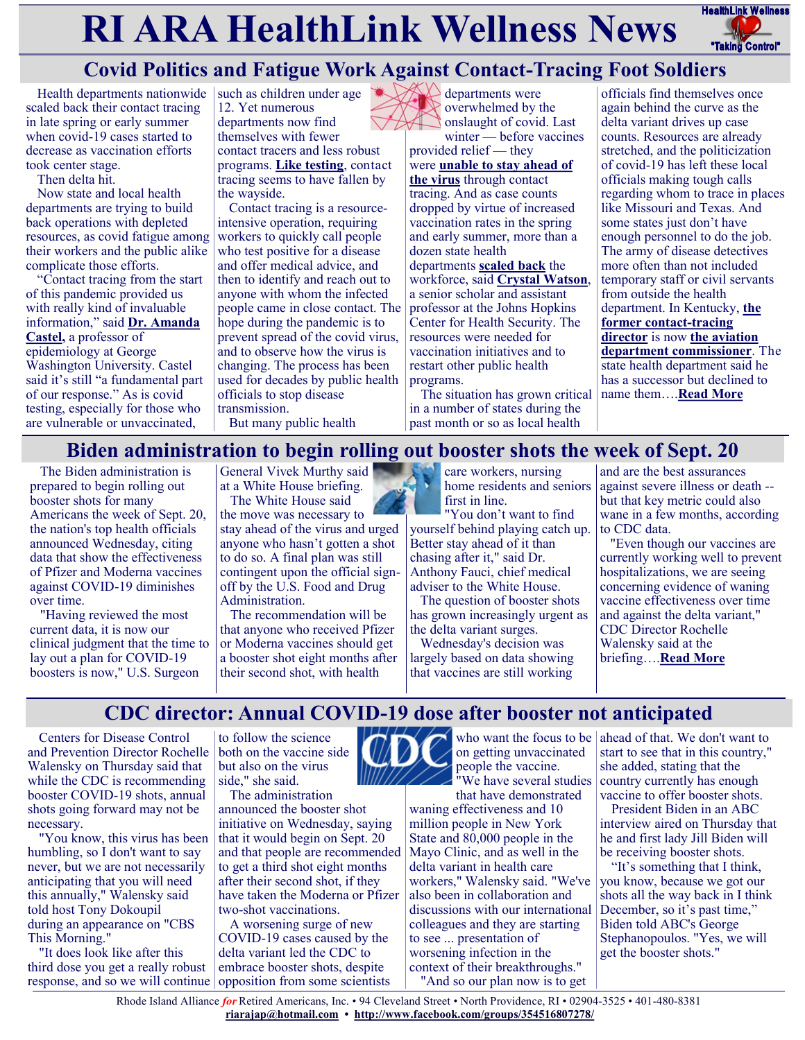# **RI ARA HealthLink Wellness News** HealthLink Wellness



## **Covid Politics and Fatigue Work Against Contact-Tracing Foot Soldiers**

Health departments nationwide scaled back their contact tracing in late spring or early summer when covid-19 cases started to decrease as vaccination efforts took center stage.

Then delta hit.

Now state and local health departments are trying to build back operations with depleted resources, as covid fatigue among their workers and the public alike complicate those efforts.

"Contact tracing from the start of this pandemic provided us with really kind of invaluable information," said **[Dr. Amanda](https://publichealth.gwu.edu/departments/epidemiology-and-biostatistics/amanda-d-castel)  [Castel,](https://publichealth.gwu.edu/departments/epidemiology-and-biostatistics/amanda-d-castel)** a professor of epidemiology at George Washington University. Castel said it's still "a fundamental part of our response." As is covid testing, especially for those who are vulnerable or unvaccinated,

such as children under age 12. Yet numerous departments now find themselves with fewer contact tracers and less robust programs. **[Like testing](https://khn.org/news/article/covid-test-supplies-consumers-scramble-in-hard-hit-areas/)**, contact tracing seems to have fallen by the wayside.

Contact tracing is a resourceintensive operation, requiring workers to quickly call people who test positive for a disease and offer medical advice, and then to identify and reach out to anyone with whom the infected people came in close contact. The hope during the pandemic is to prevent spread of the covid virus, and to observe how the virus is changing. The process has been used for decades by public health officials to stop disease transmission.

But many public health

 $\triangle$  departments were overwhelmed by the onslaught of covid. Last winter — before vaccines

provided relief — they were **[unable to stay ahead of](https://khn.org/news/article/as-pandemic-surged-contact-tracing-struggled-biden-looks-to-boost-it/)  [the virus](https://khn.org/news/article/as-pandemic-surged-contact-tracing-struggled-biden-looks-to-boost-it/)** through contact tracing. And as case counts dropped by virtue of increased vaccination rates in the spring and early summer, more than a dozen state health departments **[scaled back](https://coronavirus.jhu.edu/contact-tracing/state-survey-results)** the workforce, said **[Crystal Watson](https://www.jhsph.edu/faculty/directory/profile/3521/crystal-r-watson)**, a senior scholar and assistant professor at the Johns Hopkins Center for Health Security. The resources were needed for vaccination initiatives and to restart other public health programs.

The situation has grown critical in a number of states during the past month or so as local health

officials find themselves once again behind the curve as the delta variant drives up case counts. Resources are already stretched, and the politicization of covid-19 has left these local officials making tough calls regarding whom to trace in places like Missouri and Texas. And some states just don't have enough personnel to do the job. The army of disease detectives more often than not included temporary staff or civil servants from outside the health department. In Kentucky, **[the](https://www.ket.org/program/kentucky-health/contact-tracing-knowing-keeps-us-all-safe-173829/)  [former contact](https://www.ket.org/program/kentucky-health/contact-tracing-knowing-keeps-us-all-safe-173829/)-tracing [director](https://www.ket.org/program/kentucky-health/contact-tracing-knowing-keeps-us-all-safe-173829/)** is now **[the aviation](https://transportation.ky.gov/Organizational-Resources/Documents/Management-Personnel-Listing.pdf)  [department commissioner](https://transportation.ky.gov/Organizational-Resources/Documents/Management-Personnel-Listing.pdf)**. The state health department said he has a successor but declined to name them….**[Read More](https://khn.org/news/article/covid-politics-and-fatigue-work-against-contact-tracing-foot-soldiers/)**

#### **Biden administration to begin rolling out booster shots the week of Sept. 20**

The Biden administration is prepared to begin rolling out booster shots for many Americans the week of Sept. 20, the nation's top health officials announced Wednesday, citing data that show the effectiveness of Pfizer and Moderna vaccines against COVID-19 diminishes over time.

"Having reviewed the most current data, it is now our clinical judgment that the time to lay out a plan for COVID-19 boosters is now," U.S. Surgeon

General Vivek Murthy said at a White House briefing. The White House said

the move was necessary to stay ahead of the virus and urged anyone who hasn't gotten a shot to do so. A final plan was still contingent upon the official signoff by the U.S. Food and Drug Administration.

The recommendation will be that anyone who received Pfizer or Moderna vaccines should get a booster shot eight months after their second shot, with health

care workers, nursing home residents and seniors first in line.

"You don't want to find yourself behind playing catch up. Better stay ahead of it than chasing after it," said Dr. Anthony Fauci, chief medical adviser to the White House.

The question of booster shots has grown increasingly urgent as the delta variant surges.

Wednesday's decision was largely based on data showing that vaccines are still working

and are the best assurances against severe illness or death - but that key metric could also wane in a few months, according to CDC data.

"Even though our vaccines are currently working well to prevent hospitalizations, we are seeing concerning evidence of waning vaccine effectiveness over time and against the delta variant," CDC Director Rochelle Walensky said at the briefing….**[Read More](https://abcnews.go.com/Politics/biden-begin-rolling-booster-shots-week-sept-20/story?id=79507631)**

#### **CDC director: Annual COVID-19 dose after booster not anticipated**

Centers for Disease Control and Prevention Director Rochelle [Walensky](https://thehill.com/people/rochelle-walensky) on Thursday said that while the CDC is recommending booster COVID-19 shots, annual shots going forward may not be necessary.

"You know, this virus has been humbling, so I don't want to say never, but we are not necessarily anticipating that you will need this annually," Walensky said told host Tony Dokoupil during [an appearance on "CBS](https://www.cbsnews.com/video/cdc-director-rochelle-walensky-on-data-showing-need-for-covid-vaccine-boosters/#x)  [This Morning."](https://www.cbsnews.com/video/cdc-director-rochelle-walensky-on-data-showing-need-for-covid-vaccine-boosters/#x)

"It does look like after this third dose you get a really robust response, and so we will continue opposition from some scientists

to follow the science both on the vaccine side but also on the virus side," she said.

The administration announced the booster shot initiative on Wednesday, saying that it would begin on Sept. 20 and that people are recommended to get a third shot eight months after their second shot, if they have taken the Moderna or Pfizer two-shot vaccinations.

A worsening surge of new COVID-19 cases caused by the delta variant led the CDC to embrace booster shots, despite



who want the focus to be on getting unvaccinated people the vaccine. "We have several studies

that have demonstrated waning effectiveness and 10 million people in New York State and 80,000 people in the Mayo Clinic, and as well in the delta variant in health care workers," Walensky said. "We've also been in collaboration and discussions with our international colleagues and they are starting to see ... presentation of worsening infection in the context of their breakthroughs."

"And so our plan now is to get

ahead of that. We don't want to start to see that in this country," she added, stating that the country currently has enough vaccine to offer booster shots.

[President Biden](https://thehill.com/people/joe-biden) in an ABC interview aired on Thursday that he and first lady Jill Biden will be [receiving booster shots.](https://thehill.com/homenews/administration/568525-biden-says-he-will-get-covid-19-booster)

"It's something that I think, you know, because we got our shots all the way back in I think December, so it's past time," Biden told ABC's George [Stephanopoulos.](https://thehill.com/people/george-stephanopoulos) "Yes, we will get the booster shots."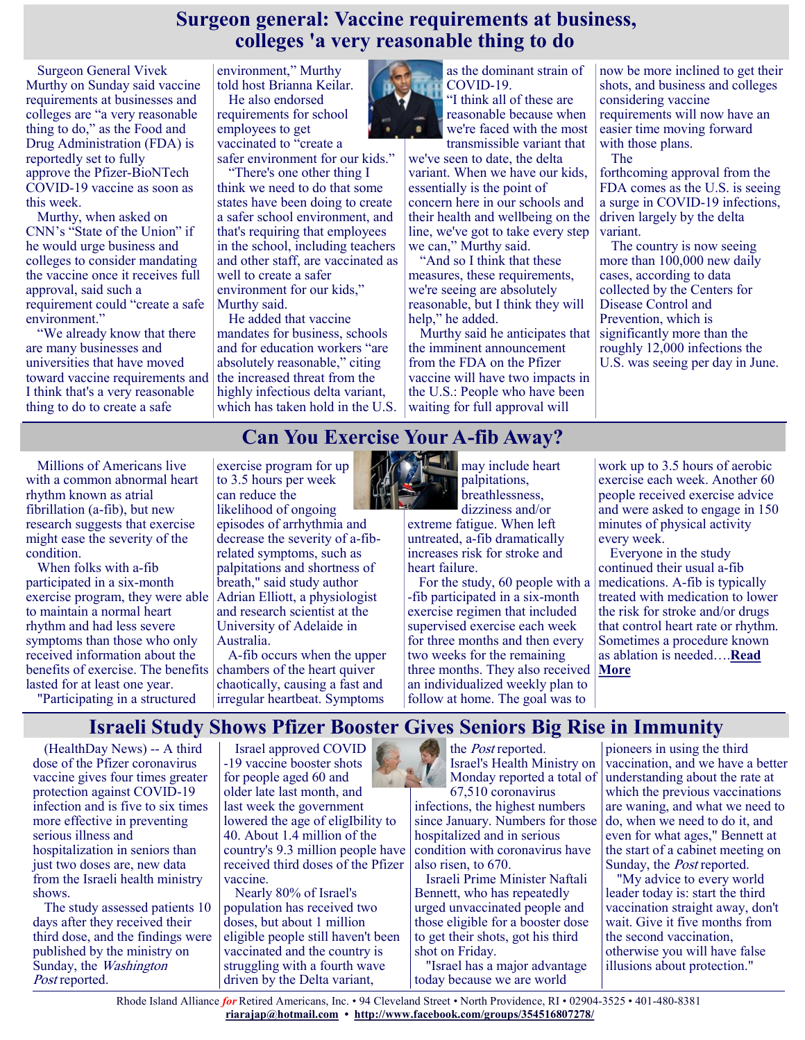#### **Surgeon general: Vaccine requirements at business, colleges 'a very reasonable thing to do**

Surgeon General Vivek [Murthy](https://thehill.com/people/vivek-murthy) on Sunday said vaccine requirements at businesses and colleges are "a very reasonable thing to do," as the Food and Drug Administration (FDA) is reportedly [set to fully](https://thehill.com/policy/healthcare/568814-full-fda-approval-for-pfizer-vaccine-could-come-next-week-reports)  [approve](https://thehill.com/policy/healthcare/568814-full-fda-approval-for-pfizer-vaccine-could-come-next-week-reports) the Pfizer-BioNTech COVID-19 vaccine as soon as this week.

Murthy, when asked on CNN's "State of the Union" if he would urge business and colleges to consider mandating the vaccine once it receives full approval, said such a requirement could "create a safe environment."

"We already know that there are many businesses and universities that have moved toward vaccine requirements and I think that's a very reasonable thing to do to create a safe

environment," Murthy told host Brianna Keilar. He also endorsed requirements for school employees to get vaccinated to "create a

safer environment for our kids."

"There's one other thing I think we need to do that some states have been doing to create a safer school environment, and that's requiring that employees in the school, including teachers and other staff, are vaccinated as well to create a safer environment for our kids," Murthy said.

He added that vaccine mandates for business, schools and for education workers "are absolutely reasonable," citing the increased threat from the highly infectious delta variant, which has taken hold in the U.S.



as the dominant strain of COVID-19. "I think all of these are reasonable because when we're faced with the most transmissible variant that

we've seen to date, the delta variant. When we have our kids, essentially is the point of concern here in our schools and their health and wellbeing on the line, we've got to take every step we can," Murthy said.

"And so I think that these measures, these requirements, we're seeing are absolutely reasonable, but I think they will help," he added.

Murthy said he anticipates that the imminent announcement from the FDA on the Pfizer vaccine will have two impacts in the U.S.: People who have been waiting for full approval will

now be more inclined to get their shots, and business and colleges considering vaccine requirements will now have an easier time moving forward with those plans. The

forthcoming approval from the FDA comes as the U.S. is seeing a surge in COVID-19 infections, driven largely by the delta variant.

The country is now seeing more than 100,000 new daily cases, according to data collected by the Centers for [Disease Control and](https://covid.cdc.gov/covid-data-tracker/#trends_dailycases)  [Prevention,](https://covid.cdc.gov/covid-data-tracker/#trends_dailycases) which is significantly more than the roughly 12,000 infections the U.S. was seeing per day in June.

#### **Can You Exercise Your A-fib Away?**

Millions of Americans live with a common abnormal heart rhythm known as atrial fibrillation (a-fib), but new research suggests that exercise might ease the severity of the condition.

When folks with a-fib participated in a six-month exercise program, they were able to maintain a normal heart rhythm and had less severe symptoms than those who only received information about the benefits of exercise. The benefits lasted for at least one year.

"Participating in a structured

exercise program for up to 3.5 hours per week can reduce the likelihood of ongoing episodes of arrhythmia and decrease the severity of a-fibrelated symptoms, such as palpitations and shortness of breath," said study author Adrian Elliott, a physiologist and research scientist at the University of Adelaide in Australia.

A-fib occurs when the upper chambers of the heart quiver chaotically, causing a fast and irregular heartbeat. Symptoms



may include heart palpitations, breathlessness, dizziness and/or

extreme fatigue. When left untreated, a-fib dramatically increases risk for stroke and heart failure.

For the study, 60 people with a -fib participated in a six-month exercise regimen that included supervised exercise each week for three months and then every two weeks for the remaining three months. They also received an individualized weekly plan to follow at home. The goal was to

work up to 3.5 hours of aerobic exercise each week. Another 60 people received exercise advice and were asked to engage in 150 minutes of physical activity every week.

Everyone in the study continued their usual a-fib medications. A-fib is typically treated with medication to lower the risk for stroke and/or drugs that control heart rate or rhythm. Sometimes a procedure known as ablation is needed….**[Read](https://consumer.healthday.com/8-24-can-you-exercise-your-a-fib-away-2654734911.html)  [More](https://consumer.healthday.com/8-24-can-you-exercise-your-a-fib-away-2654734911.html)**

#### **Israeli Study Shows Pfizer Booster Gives Seniors Big Rise in Immunity**

(HealthDay News) -- A third dose of the Pfizer coronavirus vaccine gives four times greater protection against COVID-19 infection and is five to six times more effective in preventing serious illness and hospitalization in seniors than just two doses are, new data from the Israeli health ministry shows.

The study assessed patients 10 days after they received their third dose, and the findings were published by the ministry on Sunday, the Washington Post reported.

Israel approved COVID -19 vaccine booster shots for people aged 60 and older late last month, and last week the government lowered the age of eligIbility to 40. About 1.4 million of the country's 9.3 million people have received third doses of the Pfizer vaccine.

Nearly 80% of Israel's population has received two doses, but about 1 million eligible people still haven't been vaccinated and the country is struggling with a fourth wave driven by the Delta variant,

the *Post* reported. Israel's Health Ministry on Monday reported a total of 67,510 coronavirus

infections, the highest numbers since January. Numbers for those hospitalized and in serious condition with coronavirus have also risen, to 670.

Israeli Prime Minister Naftali Bennett, who has repeatedly urged unvaccinated people and those eligible for a booster dose to get their shots, got his third shot on Friday.

"Israel has a major advantage today because we are world

pioneers in using the third vaccination, and we have a better understanding about the rate at which the previous vaccinations are waning, and what we need to do, when we need to do it, and even for what ages," Bennett at the start of a cabinet meeting on Sunday, the *Post* reported.

"My advice to every world leader today is: start the third vaccination straight away, don't wait. Give it five months from the second vaccination, otherwise you will have false illusions about protection."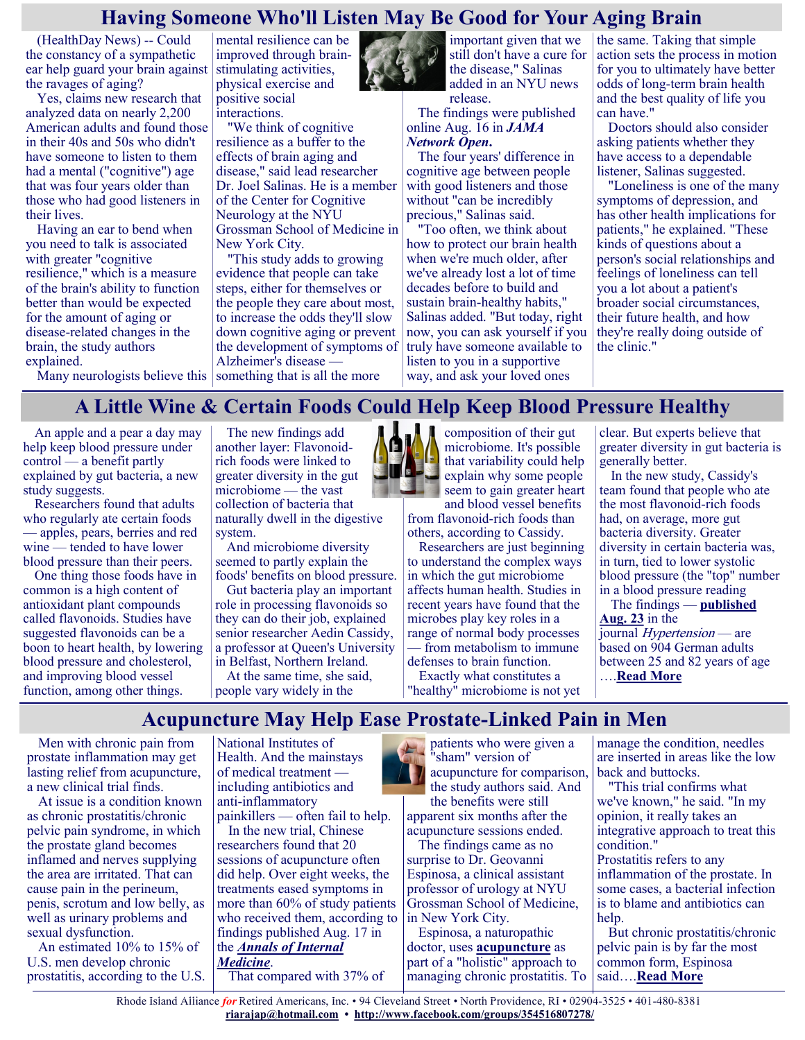#### **Having Someone Who'll Listen May Be Good for Your Aging Brain**

(HealthDay News) -- Could the constancy of a sympathetic ear help guard your brain against the ravages of aging?

Yes, claims new research that analyzed data on nearly 2,200 American adults and found those in their 40s and 50s who didn't have someone to listen to them had a mental ("cognitive") age that was four years older than those who had good listeners in their lives.

Having an ear to bend when you need to talk is associated with greater "cognitive resilience," which is a measure of the brain's ability to function better than would be expected for the amount of aging or disease-related changes in the brain, the study authors explained.

mental resilience can be improved through brainstimulating activities, physical exercise and positive social interactions.

"We think of cognitive resilience as a buffer to the effects of brain aging and disease," said lead researcher Dr. Joel Salinas. He is a member of the Center for Cognitive Neurology at the NYU Grossman School of Medicine in New York City.

"This study adds to growing evidence that people can take steps, either for themselves or the people they care about most, to increase the odds they'll slow down cognitive aging or prevent the development of symptoms of Alzheimer's disease —

Many neurologists believe this something that is all the more



important given that we still don't have a cure for the disease," Salinas added in an NYU news release.

The findings were published online Aug. 16 in *[JAMA](https://jamanetwork.com/journals/jamanetworkopen/fullarticle/2783042)  [Network Open](https://jamanetwork.com/journals/jamanetworkopen/fullarticle/2783042)***.**

The four years' difference in cognitive age between people with good listeners and those without "can be incredibly precious," Salinas said.

"Too often, we think about how to protect our brain health when we're much older, after we've already lost a lot of time decades before to build and sustain brain-healthy habits," Salinas added. "But today, right now, you can ask yourself if you truly have someone available to listen to you in a supportive way, and ask your loved ones

the same. Taking that simple action sets the process in motion for you to ultimately have better odds of long-term brain health and the best quality of life you can have."

Doctors should also consider asking patients whether they have access to a dependable listener, Salinas suggested.

"Loneliness is one of the many symptoms of depression, and has other health implications for patients," he explained. "These kinds of questions about a person's social relationships and feelings of loneliness can tell you a lot about a patient's broader social circumstances, their future health, and how they're really doing outside of the clinic."

#### **A Little Wine & Certain Foods Could Help Keep Blood Pressure Healthy**

An apple and a pear a day may help keep blood pressure under control — a benefit partly explained by gut bacteria, a new study suggests.

Researchers found that adults who regularly ate certain foods — apples, pears, berries and red wine — tended to have lower blood pressure than their peers.

One thing those foods have in common is a high content of antioxidant plant compounds called flavonoids. Studies have suggested flavonoids can be a boon to heart health, by lowering blood pressure and cholesterol, and improving blood vessel function, among other things.

The new findings add another layer: Flavonoidrich foods were linked to greater diversity in the gut microbiome — the vast collection of bacteria that naturally dwell in the digestive system.

And microbiome diversity seemed to partly explain the foods' benefits on blood pressure.

Gut bacteria play an important role in processing flavonoids so they can do their job, explained senior researcher Aedin Cassidy, a professor at Queen's University in Belfast, Northern Ireland.

At the same time, she said, people vary widely in the



composition of their gut microbiome. It's possible that variability could help  $\epsilon$  explain why some people seem to gain greater heart and blood vessel benefits

from flavonoid-rich foods than others, according to Cassidy.

Researchers are just beginning to understand the complex ways in which the gut microbiome affects human health. Studies in recent years have found that the microbes play key roles in a range of normal body processes from metabolism to immune defenses to brain function.

Exactly what constitutes a "healthy" microbiome is not yet

clear. But experts believe that greater diversity in gut bacteria is generally better.

In the new study, Cassidy's team found that people who ate the most flavonoid-rich foods had, on average, more gut bacteria diversity. Greater diversity in certain bacteria was, in turn, tied to lower systolic blood pressure (the "top" number in a blood pressure reading

The findings — **[published](https://www.ahajournals.org/doi/10.1161/HYPERTENSIONAHA.121.17441)  [Aug. 23](https://www.ahajournals.org/doi/10.1161/HYPERTENSIONAHA.121.17441)** in the journal *Hypertension* — are based on 904 German adults between 25 and 82 years of age ….**[Read More](https://consumer.healthday.com/8-24-a-little-wine-certain-foods-could-help-keep-blood-pressure-healthy-2654733626.html)**

#### **Acupuncture May Help Ease Prostate-Linked Pain in Men**

Men with chronic pain from prostate inflammation may get lasting relief from acupuncture, a new clinical trial finds.

At issue is a condition known as chronic prostatitis/chronic pelvic pain syndrome, in which the prostate gland becomes inflamed and nerves supplying the area are irritated. That can cause pain in the perineum, penis, scrotum and low belly, as well as urinary problems and sexual dysfunction.

An estimated 10% to 15% of U.S. men develop chronic prostatitis, according to the U.S. National Institutes of Health. And the mainstays of medical treatment including antibiotics and anti-inflammatory painkillers — often fail to help.

In the new trial, Chinese researchers found that 20 sessions of acupuncture often did help. Over eight weeks, the treatments eased symptoms in more than 60% of study patients who received them, according to findings published Aug. 17 in the *[Annals of Internal](https://www.acpjournals.org/doi/10.7326/M21-1814)  [Medicine](https://www.acpjournals.org/doi/10.7326/M21-1814)*. That compared with 37% of



apparent six months after the acupuncture sessions ended. The findings came as no

surprise to Dr. Geovanni Espinosa, a clinical assistant professor of urology at NYU Grossman School of Medicine, in New York City.

Espinosa, a naturopathic doctor, uses **[acupuncture](https://consumer.healthday.com/encyclopedia/holistic-medicine-25/acupuncture-news-5/acupuncture-645348.html)** as part of a "holistic" approach to managing chronic prostatitis. To

manage the condition, needles are inserted in areas like the low back and buttocks.

"This trial confirms what we've known," he said. "In my opinion, it really takes an integrative approach to treat this condition."

Prostatitis refers to any inflammation of the prostate. In some cases, a bacterial infection is to blame and antibiotics can help.

But chronic prostatitis/chronic pelvic pain is by far the most common form, Espinosa said….**[Read More](https://consumer.healthday.com/8-17-acupuncture-may-help-ease-chronic-pelvic-pain-in-med-study-2654629255.html)**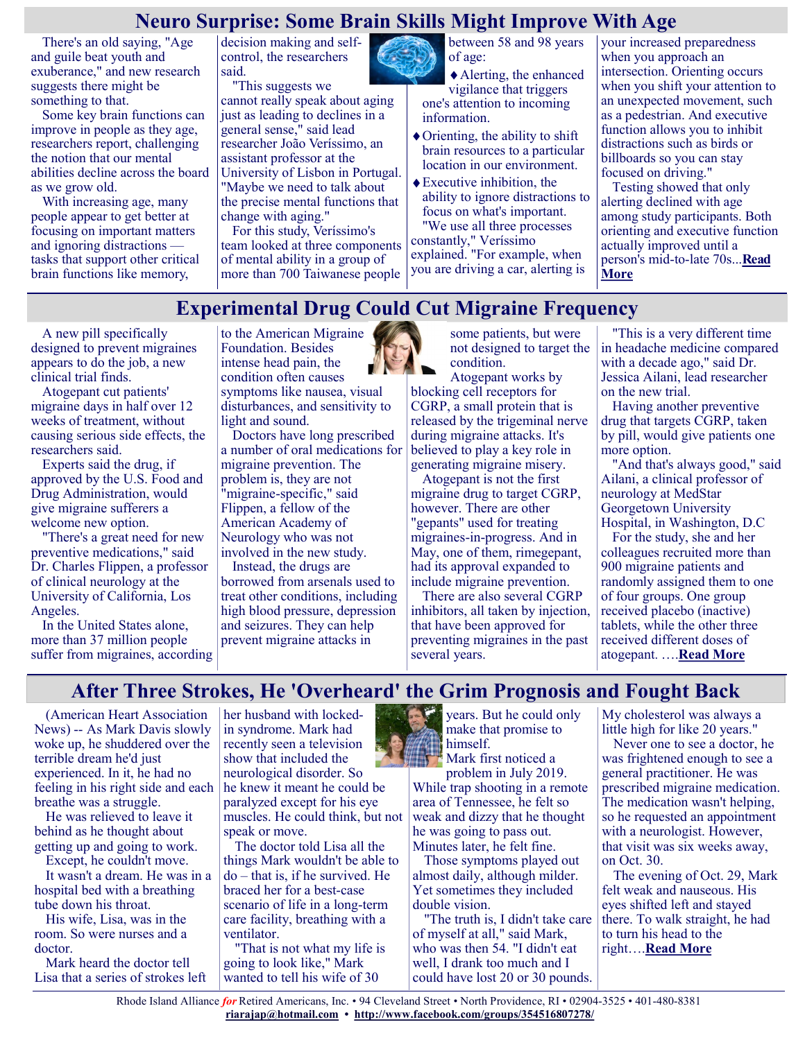#### **Neuro Surprise: Some Brain Skills Might Improve With Age**

There's an old saying, "Age and guile beat youth and exuberance," and new research suggests there might be something to that.

Some key brain functions can improve in people as they age, researchers report, challenging the notion that our mental abilities decline across the board as we grow old.

With increasing age, many people appear to get better at focusing on important matters and ignoring distractions tasks that support other critical brain functions like memory,

decision making and selfcontrol, the researchers said.

"This suggests we cannot really speak about aging just as leading to declines in a general sense," said lead researcher João Veríssimo, an assistant professor at the University of Lisbon in Portugal. "Maybe we need to talk about the precise mental functions that change with aging."

For this study, Veríssimo's team looked at three components of mental ability in a group of more than 700 Taiwanese people

between 58 and 98 years of age:

Alerting, the enhanced vigilance that triggers one's attention to incoming information.

- Orienting, the ability to shift brain resources to a particular location in our environment.
- Executive inhibition, the ability to ignore distractions to focus on what's important. "We use all three processes constantly," Veríssimo

explained. "For example, when you are driving a car, alerting is your increased preparedness when you approach an intersection. Orienting occurs when you shift your attention to an unexpected movement, such as a pedestrian. And executive function allows you to inhibit distractions such as birds or billboards so you can stay focused on driving."

Testing showed that only alerting declined with age among study participants. Both orienting and executive function actually improved until a person's mid-to-late 70s...**[Read](https://consumer.healthday.com/8-19-neuro-surprise-some-brain-skills-might-improve-with-age-2654683763.html)  [More](https://consumer.healthday.com/8-19-neuro-surprise-some-brain-skills-might-improve-with-age-2654683763.html)**

#### **Experimental Drug Could Cut Migraine Frequency**

A new pill specifically designed to prevent migraines appears to do the job, a new clinical trial finds.

Atogepant cut patients' migraine days in half over 12 weeks of treatment, without causing serious side effects, the researchers said.

Experts said the drug, if approved by the U.S. Food and Drug Administration, would give migraine sufferers a welcome new option.

"There's a great need for new preventive medications," said Dr. Charles Flippen, a professor of clinical neurology at the University of California, Los Angeles.

In the United States alone, more than 37 million people suffer from migraines, according

to the American Migraine Foundation. Besides intense head pain, the condition often causes symptoms like nausea, visual disturbances, and sensitivity to light and sound.

Doctors have long prescribed a number of oral medications for migraine prevention. The problem is, they are not "migraine-specific," said Flippen, a fellow of the American Academy of Neurology who was not involved in the new study. Instead, the drugs are

borrowed from arsenals used to treat other conditions, including high blood pressure, depression and seizures. They can help prevent migraine attacks in



some patients, but were not designed to target the condition.

Atogepant works by blocking cell receptors for CGRP, a small protein that is released by the trigeminal nerve during migraine attacks. It's believed to play a key role in generating migraine misery.

Atogepant is not the first migraine drug to target CGRP, however. There are other "gepants" used for treating migraines-in-progress. And in May, one of them, rimegepant, had its approval expanded to include migraine prevention.

There are also several CGRP inhibitors, all taken by injection, that have been approved for preventing migraines in the past several years.

"This is a very different time in headache medicine compared with a decade ago," said Dr. Jessica Ailani, lead researcher on the new trial.

Having another preventive drug that targets CGRP, taken by pill, would give patients one more option.

"And that's always good," said Ailani, a clinical professor of neurology at MedStar Georgetown University Hospital, in Washington, D.C

For the study, she and her colleagues recruited more than 900 migraine patients and randomly assigned them to one of four groups. One group received placebo (inactive) tablets, while the other three received different doses of atogepant. ….**[Read More](https://consumer.healthday.com/8-19-experimental-drug-could-cut-migraine-frequency-2654658608.html)**

#### **After Three Strokes, He 'Overheard' the Grim Prognosis and Fought Back**

(American Heart Association News) -- As Mark Davis slowly woke up, he shuddered over the terrible dream he'd just experienced. In it, he had no feeling in his right side and each breathe was a struggle.

He was relieved to leave it behind as he thought about getting up and going to work.

Except, he couldn't move. It wasn't a dream. He was in a hospital bed with a breathing tube down his throat.

His wife, Lisa, was in the room. So were nurses and a doctor.

Mark heard the doctor tell Lisa that a series of strokes left her husband with lockedin syndrome. Mark had recently seen a television show that included the neurological disorder. So he knew it meant he could be paralyzed except for his eye muscles. He could think, but not speak or move.

The doctor told Lisa all the things Mark wouldn't be able to do – that is, if he survived. He braced her for a best-case scenario of life in a long-term care facility, breathing with a ventilator.

"That is not what my life is going to look like," Mark wanted to tell his wife of 30

 $\mathcal{L}$ years. But he could only make that promise to himself.

Mark first noticed a problem in July 2019. While trap shooting in a remote area of Tennessee, he felt so weak and dizzy that he thought he was going to pass out. Minutes later, he felt fine.

Those symptoms played out almost daily, although milder. Yet sometimes they included double vision.

"The truth is, I didn't take care of myself at all," said Mark, who was then 54. "I didn't eat well, I drank too much and I could have lost 20 or 30 pounds. My cholesterol was always a little high for like 20 years."

Never one to see a doctor, he was frightened enough to see a general practitioner. He was prescribed migraine medication. The medication wasn't helping, so he requested an appointment with a neurologist. However, that visit was six weeks away, on Oct. 30.

The evening of Oct. 29, Mark felt weak and nauseous. His eyes shifted left and stayed there. To walk straight, he had to turn his head to the right….**[Read More](https://consumer.healthday.com/aha-news-after-three-strokes-he-overheard-the-grim-prognosis-and-fought-back-2654734805.html)**